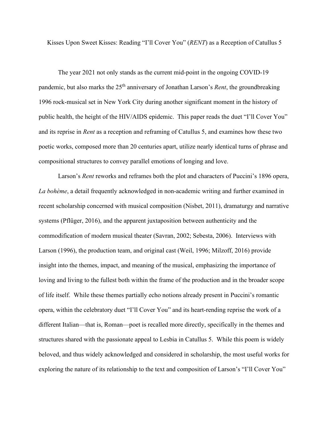Kisses Upon Sweet Kisses: Reading "I'll Cover You" (*RENT*) as a Reception of Catullus 5

The year 2021 not only stands as the current mid-point in the ongoing COVID-19 pandemic, but also marks the 25<sup>th</sup> anniversary of Jonathan Larson's *Rent*, the groundbreaking 1996 rock-musical set in New York City during another significant moment in the history of public health, the height of the HIV/AIDS epidemic. This paper reads the duet "I'll Cover You" and its reprise in *Rent* as a reception and reframing of Catullus 5, and examines how these two poetic works, composed more than 20 centuries apart, utilize nearly identical turns of phrase and compositional structures to convey parallel emotions of longing and love.

Larson's *Rent* reworks and reframes both the plot and characters of Puccini's 1896 opera, *La bohème*, a detail frequently acknowledged in non-academic writing and further examined in recent scholarship concerned with musical composition (Nisbet, 2011), dramaturgy and narrative systems (Pflüger, 2016), and the apparent juxtaposition between authenticity and the commodification of modern musical theater (Savran, 2002; Sebesta, 2006). Interviews with Larson (1996), the production team, and original cast (Weil, 1996; Milzoff, 2016) provide insight into the themes, impact, and meaning of the musical, emphasizing the importance of loving and living to the fullest both within the frame of the production and in the broader scope of life itself. While these themes partially echo notions already present in Puccini's romantic opera, within the celebratory duet "I'll Cover You" and its heart-rending reprise the work of a different Italian—that is, Roman—poet is recalled more directly, specifically in the themes and structures shared with the passionate appeal to Lesbia in Catullus 5. While this poem is widely beloved, and thus widely acknowledged and considered in scholarship, the most useful works for exploring the nature of its relationship to the text and composition of Larson's "I'll Cover You"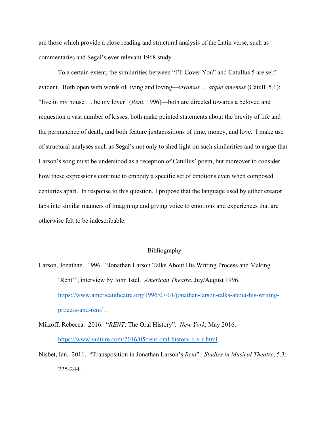are those which provide a close reading and structural analysis of the Latin verse, such as commentaries and Segal's ever relevant 1968 study.

To a certain extent, the similarities between "I'll Cover You" and Catullus 5 are selfevident. Both open with words of living and loving—*vivamus … atque amemus* (Catull. 5.1); "live in my house … be my lover" (*Rent*, 1996)—both are directed towards a beloved and requestion a vast number of kisses, both make pointed statements about the brevity of life and the permanence of death, and both feature juxtapositions of time, money, and love. I make use of structural analyses such as Segal's not only to shed light on such similarities and to argue that Larson's song must be understood as a reception of Catullus' poem, but moreover to consider how these expressions continue to embody a specific set of emotions even when composed centuries apart. In response to this question, I propose that the language used by either creator taps into similar manners of imagining and giving voice to emotions and experiences that are otherwise felt to be indescribable.

## Bibliography

Larson, Jonathan. 1996. "Jonathan Larson Talks About His Writing Process and Making 'Rent'", interview by John Istel. *American Theatre*, Juy/August 1996. [https://www.americantheatre.org/1996/07/01/jonathan-larson-talks-about-his-writing](https://www.americantheatre.org/1996/07/01/jonathan-larson-talks-about-his-writing-process-and-rent/)[process-and-rent/](https://www.americantheatre.org/1996/07/01/jonathan-larson-talks-about-his-writing-process-and-rent/) .

Milzoff, Rebecca. 2016. "*RENT*: The Oral History". *New York*, May 2016. <https://www.vulture.com/2016/05/rent-oral-history-c-v-r.html>.

Nisbet, Ian. 2011. "Transposition in Jonathan Larson's *Rent*". *Studies in Musical Theatre*, 5.3: 225-244.